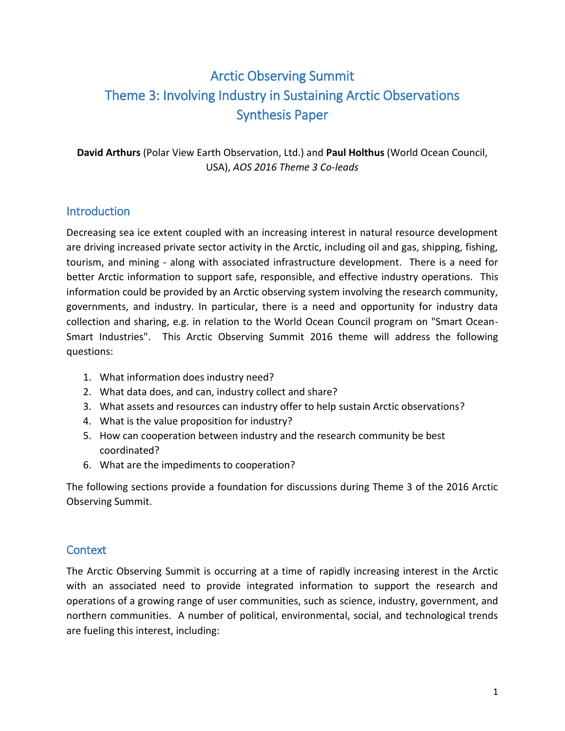# Arctic Observing Summit Theme 3: Involving Industry in Sustaining Arctic Observations Synthesis Paper

**David Arthurs** (Polar View Earth Observation, Ltd.) and **Paul Holthus** (World Ocean Council, USA), *AOS 2016 Theme 3 Co-leads*

## **Introduction**

Decreasing sea ice extent coupled with an increasing interest in natural resource development are driving increased private sector activity in the Arctic, including oil and gas, shipping, fishing, tourism, and mining - along with associated infrastructure development. There is a need for better Arctic information to support safe, responsible, and effective industry operations. This information could be provided by an Arctic observing system involving the research community, governments, and industry. In particular, there is a need and opportunity for industry data collection and sharing, e.g. in relation to the World Ocean Council program on "Smart Ocean-Smart Industries". This Arctic Observing Summit 2016 theme will address the following questions:

- 1. What information does industry need?
- 2. What data does, and can, industry collect and share?
- 3. What assets and resources can industry offer to help sustain Arctic observations?
- 4. What is the value proposition for industry?
- 5. How can cooperation between industry and the research community be best coordinated?
- 6. What are the impediments to cooperation?

The following sections provide a foundation for discussions during Theme 3 of the 2016 Arctic Observing Summit.

### **Context**

The Arctic Observing Summit is occurring at a time of rapidly increasing interest in the Arctic with an associated need to provide integrated information to support the research and operations of a growing range of user communities, such as science, industry, government, and northern communities. A number of political, environmental, social, and technological trends are fueling this interest, including: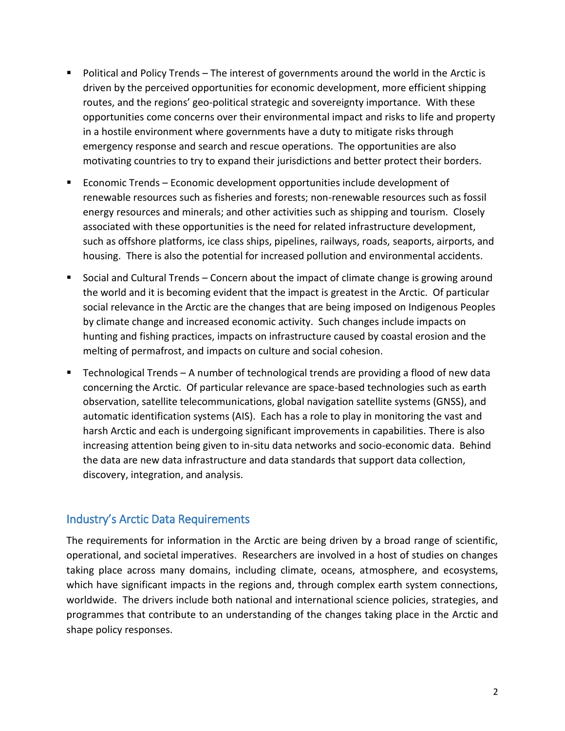- Political and Policy Trends The interest of governments around the world in the Arctic is driven by the perceived opportunities for economic development, more efficient shipping routes, and the regions' geo-political strategic and sovereignty importance. With these opportunities come concerns over their environmental impact and risks to life and property in a hostile environment where governments have a duty to mitigate risks through emergency response and search and rescue operations. The opportunities are also motivating countries to try to expand their jurisdictions and better protect their borders.
- Economic Trends Economic development opportunities include development of renewable resources such as fisheries and forests; non-renewable resources such as fossil energy resources and minerals; and other activities such as shipping and tourism. Closely associated with these opportunities is the need for related infrastructure development, such as offshore platforms, ice class ships, pipelines, railways, roads, seaports, airports, and housing. There is also the potential for increased pollution and environmental accidents.
- Social and Cultural Trends Concern about the impact of climate change is growing around the world and it is becoming evident that the impact is greatest in the Arctic. Of particular social relevance in the Arctic are the changes that are being imposed on Indigenous Peoples by climate change and increased economic activity. Such changes include impacts on hunting and fishing practices, impacts on infrastructure caused by coastal erosion and the melting of permafrost, and impacts on culture and social cohesion.
- Technological Trends A number of technological trends are providing a flood of new data concerning the Arctic. Of particular relevance are space-based technologies such as earth observation, satellite telecommunications, global navigation satellite systems (GNSS), and automatic identification systems (AIS). Each has a role to play in monitoring the vast and harsh Arctic and each is undergoing significant improvements in capabilities. There is also increasing attention being given to in-situ data networks and socio-economic data. Behind the data are new data infrastructure and data standards that support data collection, discovery, integration, and analysis.

## Industry's Arctic Data Requirements

The requirements for information in the Arctic are being driven by a broad range of scientific, operational, and societal imperatives. Researchers are involved in a host of studies on changes taking place across many domains, including climate, oceans, atmosphere, and ecosystems, which have significant impacts in the regions and, through complex earth system connections, worldwide. The drivers include both national and international science policies, strategies, and programmes that contribute to an understanding of the changes taking place in the Arctic and shape policy responses.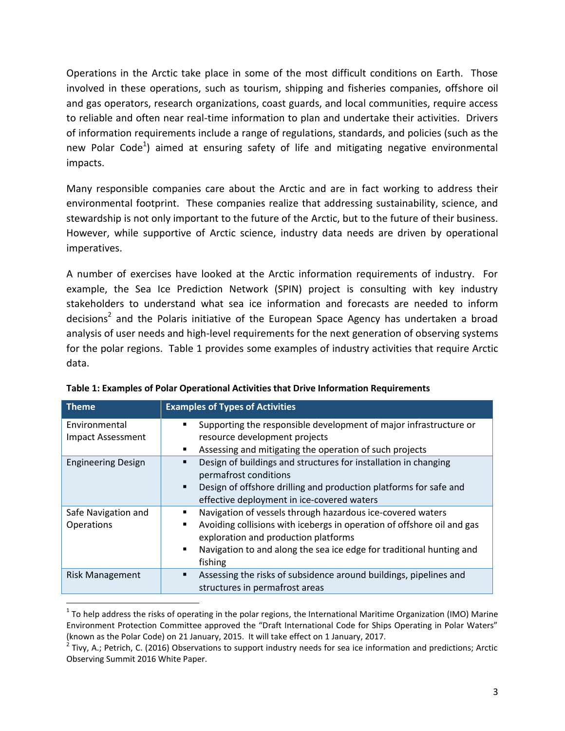Operations in the Arctic take place in some of the most difficult conditions on Earth. Those involved in these operations, such as tourism, shipping and fisheries companies, offshore oil and gas operators, research organizations, coast guards, and local communities, require access to reliable and often near real-time information to plan and undertake their activities. Drivers of information requirements include a range of regulations, standards, and policies (such as the new Polar Code<sup>1</sup>) aimed at ensuring safety of life and mitigating negative environmental impacts.

Many responsible companies care about the Arctic and are in fact working to address their environmental footprint. These companies realize that addressing sustainability, science, and stewardship is not only important to the future of the Arctic, but to the future of their business. However, while supportive of Arctic science, industry data needs are driven by operational imperatives.

A number of exercises have looked at the Arctic information requirements of industry. For example, the Sea Ice Prediction Network (SPIN) project is consulting with key industry stakeholders to understand what sea ice information and forecasts are needed to inform decisions<sup>2</sup> and the Polaris initiative of the European Space Agency has undertaken a broad analysis of user needs and high-level requirements for the next generation of observing systems for the polar regions. Table 1 provides some examples of industry activities that require Arctic data.

| <b>Theme</b>              | <b>Examples of Types of Activities</b>                                              |  |  |
|---------------------------|-------------------------------------------------------------------------------------|--|--|
| Environmental             | Supporting the responsible development of major infrastructure or                   |  |  |
| Impact Assessment         | resource development projects                                                       |  |  |
|                           | Assessing and mitigating the operation of such projects<br>٠                        |  |  |
| <b>Engineering Design</b> | Design of buildings and structures for installation in changing                     |  |  |
|                           | permafrost conditions                                                               |  |  |
|                           | Design of offshore drilling and production platforms for safe and<br>$\blacksquare$ |  |  |
|                           | effective deployment in ice-covered waters                                          |  |  |
| Safe Navigation and       | Navigation of vessels through hazardous ice-covered waters<br>п                     |  |  |
| Operations                | Avoiding collisions with icebergs in operation of offshore oil and gas<br>٠         |  |  |
|                           | exploration and production platforms                                                |  |  |
|                           | Navigation to and along the sea ice edge for traditional hunting and<br>٠           |  |  |
|                           | fishing                                                                             |  |  |
| <b>Risk Management</b>    | Assessing the risks of subsidence around buildings, pipelines and<br>п              |  |  |
|                           | structures in permafrost areas                                                      |  |  |

| Table 1: Examples of Polar Operational Activities that Drive Information Requirements |  |  |  |
|---------------------------------------------------------------------------------------|--|--|--|
|                                                                                       |  |  |  |

l

 $1$  To help address the risks of operating in the polar regions, the International Maritime Organization (IMO) Marine Environment Protection Committee approved the "Draft International Code for Ships Operating in Polar Waters" (known as the Polar Code) on 21 January, 2015. It will take effect on 1 January, 2017.

<sup>&</sup>lt;sup>2</sup> Tivy, A.; Petrich, C. (2016) Observations to support industry needs for sea ice information and predictions; Arctic Observing Summit 2016 White Paper.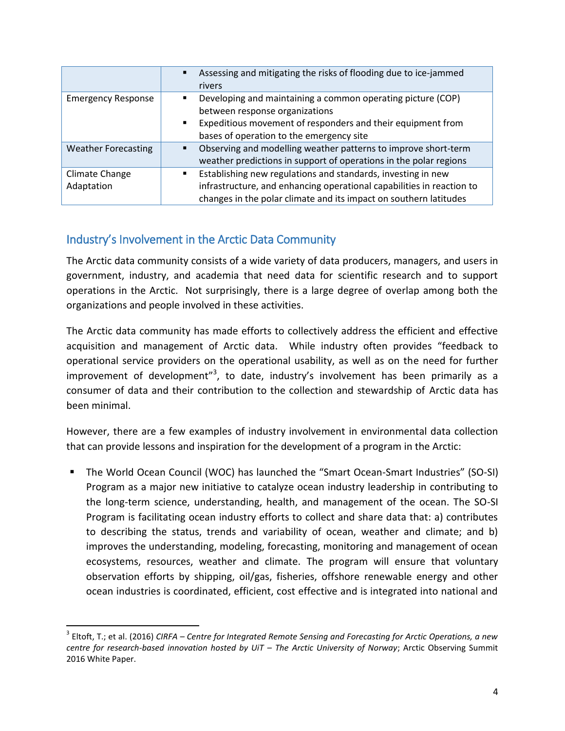|                            | Assessing and mitigating the risks of flooding due to ice-jammed<br>$\blacksquare$ |
|----------------------------|------------------------------------------------------------------------------------|
|                            | rivers                                                                             |
| <b>Emergency Response</b>  | Developing and maintaining a common operating picture (COP)<br>٠                   |
|                            | between response organizations                                                     |
|                            | Expeditious movement of responders and their equipment from<br>$\blacksquare$      |
|                            | bases of operation to the emergency site                                           |
| <b>Weather Forecasting</b> | Observing and modelling weather patterns to improve short-term                     |
|                            | weather predictions in support of operations in the polar regions                  |
| Climate Change             | Establishing new regulations and standards, investing in new                       |
| Adaptation                 | infrastructure, and enhancing operational capabilities in reaction to              |
|                            | changes in the polar climate and its impact on southern latitudes                  |

# Industry's Involvement in the Arctic Data Community

 $\overline{\phantom{a}}$ 

The Arctic data community consists of a wide variety of data producers, managers, and users in government, industry, and academia that need data for scientific research and to support operations in the Arctic. Not surprisingly, there is a large degree of overlap among both the organizations and people involved in these activities.

The Arctic data community has made efforts to collectively address the efficient and effective acquisition and management of Arctic data. While industry often provides "feedback to operational service providers on the operational usability, as well as on the need for further improvement of development"<sup>3</sup>, to date, industry's involvement has been primarily as a consumer of data and their contribution to the collection and stewardship of Arctic data has been minimal.

However, there are a few examples of industry involvement in environmental data collection that can provide lessons and inspiration for the development of a program in the Arctic:

 The World Ocean Council (WOC) has launched the "Smart Ocean-Smart Industries" (SO-SI) Program as a major new initiative to catalyze ocean industry leadership in contributing to the long-term science, understanding, health, and management of the ocean. The SO-SI Program is facilitating ocean industry efforts to collect and share data that: a) contributes to describing the status, trends and variability of ocean, weather and climate; and b) improves the understanding, modeling, forecasting, monitoring and management of ocean ecosystems, resources, weather and climate. The program will ensure that voluntary observation efforts by shipping, oil/gas, fisheries, offshore renewable energy and other ocean industries is coordinated, efficient, cost effective and is integrated into national and

<sup>3</sup> Eltoft, T.; et al. (2016) *CIRFA – Centre for Integrated Remote Sensing and Forecasting for Arctic Operations, a new centre for research-based innovation hosted by UiT – The Arctic University of Norway*; Arctic Observing Summit 2016 White Paper.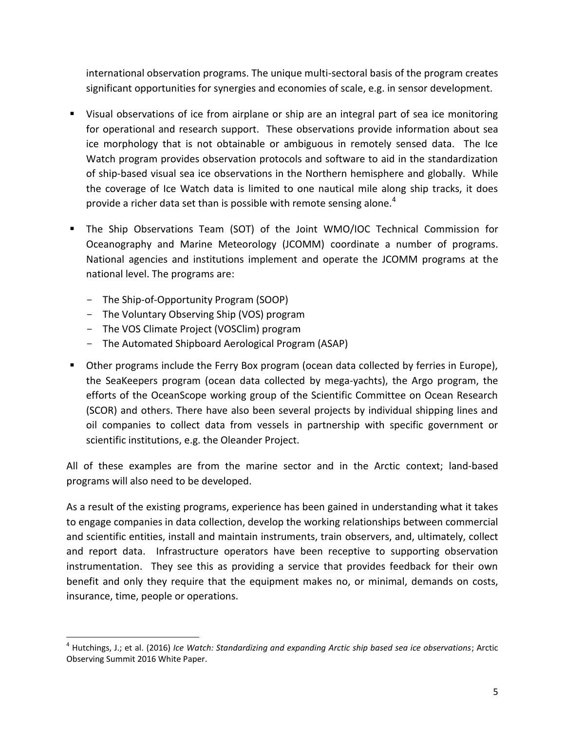international observation programs. The unique multi-sectoral basis of the program creates significant opportunities for synergies and economies of scale, e.g. in sensor development.

- Visual observations of ice from airplane or ship are an integral part of sea ice monitoring for operational and research support. These observations provide information about sea ice morphology that is not obtainable or ambiguous in remotely sensed data. The Ice Watch program provides observation protocols and software to aid in the standardization of ship-based visual sea ice observations in the Northern hemisphere and globally. While the coverage of Ice Watch data is limited to one nautical mile along ship tracks, it does provide a richer data set than is possible with remote sensing alone.<sup>4</sup>
- The Ship Observations Team (SOT) of the Joint WMO/IOC Technical Commission for Oceanography and Marine Meteorology (JCOMM) coordinate a number of programs. National agencies and institutions implement and operate the JCOMM programs at the national level. The programs are:
	- The Ship-of-Opportunity Program (SOOP)
	- The Voluntary Observing Ship (VOS) program
	- The VOS Climate Project (VOSClim) program
	- The Automated Shipboard Aerological Program (ASAP)
- Other programs include the Ferry Box program (ocean data collected by ferries in Europe), the SeaKeepers program (ocean data collected by mega-yachts), the Argo program, the efforts of the OceanScope working group of the Scientific Committee on Ocean Research (SCOR) and others. There have also been several projects by individual shipping lines and oil companies to collect data from vessels in partnership with specific government or scientific institutions, e.g. the Oleander Project.

All of these examples are from the marine sector and in the Arctic context; land-based programs will also need to be developed.

As a result of the existing programs, experience has been gained in understanding what it takes to engage companies in data collection, develop the working relationships between commercial and scientific entities, install and maintain instruments, train observers, and, ultimately, collect and report data. Infrastructure operators have been receptive to supporting observation instrumentation. They see this as providing a service that provides feedback for their own benefit and only they require that the equipment makes no, or minimal, demands on costs, insurance, time, people or operations.

l 4 Hutchings, J.; et al. (2016) *Ice Watch: Standardizing and expanding Arctic ship based sea ice observations*; Arctic Observing Summit 2016 White Paper.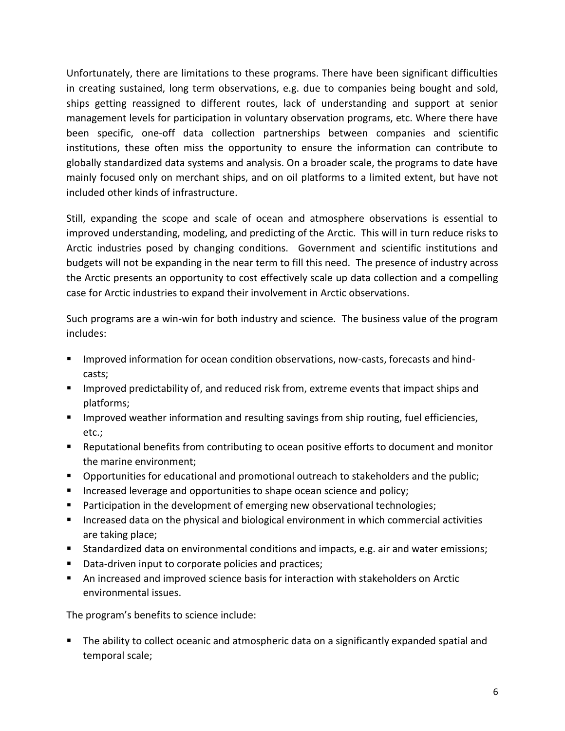Unfortunately, there are limitations to these programs. There have been significant difficulties in creating sustained, long term observations, e.g. due to companies being bought and sold, ships getting reassigned to different routes, lack of understanding and support at senior management levels for participation in voluntary observation programs, etc. Where there have been specific, one-off data collection partnerships between companies and scientific institutions, these often miss the opportunity to ensure the information can contribute to globally standardized data systems and analysis. On a broader scale, the programs to date have mainly focused only on merchant ships, and on oil platforms to a limited extent, but have not included other kinds of infrastructure.

Still, expanding the scope and scale of ocean and atmosphere observations is essential to improved understanding, modeling, and predicting of the Arctic. This will in turn reduce risks to Arctic industries posed by changing conditions. Government and scientific institutions and budgets will not be expanding in the near term to fill this need. The presence of industry across the Arctic presents an opportunity to cost effectively scale up data collection and a compelling case for Arctic industries to expand their involvement in Arctic observations.

Such programs are a win-win for both industry and science. The business value of the program includes:

- **IMPROVED INFORMATE:** Improved information for ocean condition observations, now-casts, forecasts and hindcasts;
- **IMPROVED predictability of, and reduced risk from, extreme events that impact ships and** platforms;
- **IMPROVED WEATHER INFORMATION** and resulting savings from ship routing, fuel efficiencies, etc.;
- Reputational benefits from contributing to ocean positive efforts to document and monitor the marine environment;
- **Deportunities for educational and promotional outreach to stakeholders and the public;**
- **Increased leverage and opportunities to shape ocean science and policy;**
- Participation in the development of emerging new observational technologies;
- **Increased data on the physical and biological environment in which commercial activities** are taking place;
- Standardized data on environmental conditions and impacts, e.g. air and water emissions;
- Data-driven input to corporate policies and practices;
- An increased and improved science basis for interaction with stakeholders on Arctic environmental issues.

The program's benefits to science include:

 The ability to collect oceanic and atmospheric data on a significantly expanded spatial and temporal scale;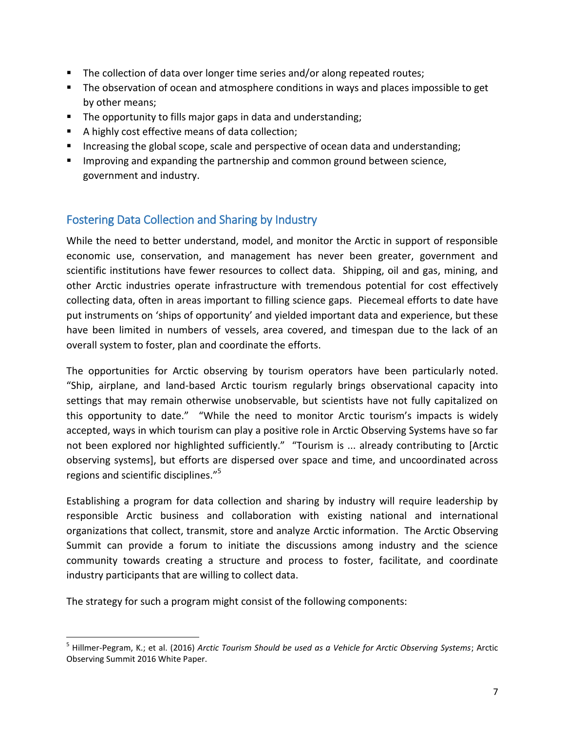- The collection of data over longer time series and/or along repeated routes;
- **The observation of ocean and atmosphere conditions in ways and places impossible to get** by other means;
- The opportunity to fills major gaps in data and understanding;
- A highly cost effective means of data collection;
- **Increasing the global scope, scale and perspective of ocean data and understanding;**
- **IMPROM** 11 Improving and expanding the partnership and common ground between science, government and industry.

# Fostering Data Collection and Sharing by Industry

While the need to better understand, model, and monitor the Arctic in support of responsible economic use, conservation, and management has never been greater, government and scientific institutions have fewer resources to collect data. Shipping, oil and gas, mining, and other Arctic industries operate infrastructure with tremendous potential for cost effectively collecting data, often in areas important to filling science gaps. Piecemeal efforts to date have put instruments on 'ships of opportunity' and yielded important data and experience, but these have been limited in numbers of vessels, area covered, and timespan due to the lack of an overall system to foster, plan and coordinate the efforts.

The opportunities for Arctic observing by tourism operators have been particularly noted. "Ship, airplane, and land-based Arctic tourism regularly brings observational capacity into settings that may remain otherwise unobservable, but scientists have not fully capitalized on this opportunity to date." "While the need to monitor Arctic tourism's impacts is widely accepted, ways in which tourism can play a positive role in Arctic Observing Systems have so far not been explored nor highlighted sufficiently." "Tourism is ... already contributing to [Arctic observing systems], but efforts are dispersed over space and time, and uncoordinated across regions and scientific disciplines."<sup>5</sup>

Establishing a program for data collection and sharing by industry will require leadership by responsible Arctic business and collaboration with existing national and international organizations that collect, transmit, store and analyze Arctic information. The Arctic Observing Summit can provide a forum to initiate the discussions among industry and the science community towards creating a structure and process to foster, facilitate, and coordinate industry participants that are willing to collect data.

The strategy for such a program might consist of the following components:

l 5 Hillmer-Pegram, K.; et al. (2016) *Arctic Tourism Should be used as a Vehicle for Arctic Observing Systems*; Arctic Observing Summit 2016 White Paper.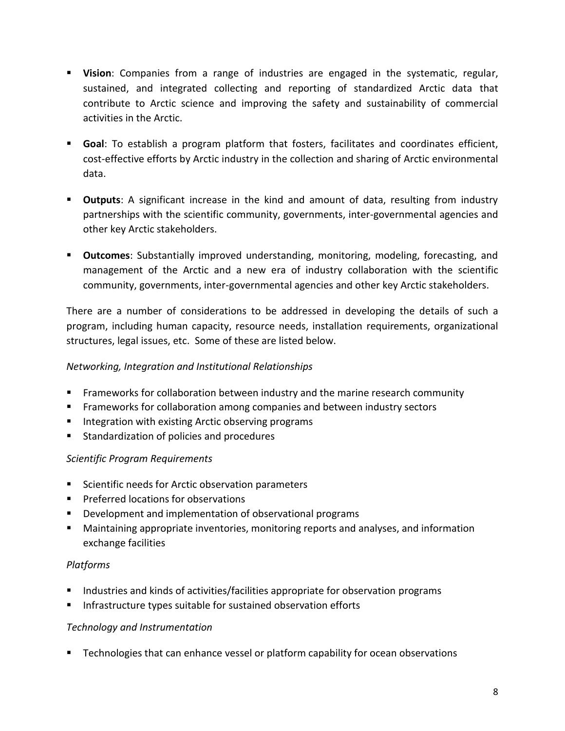- **Vision**: Companies from a range of industries are engaged in the systematic, regular, sustained, and integrated collecting and reporting of standardized Arctic data that contribute to Arctic science and improving the safety and sustainability of commercial activities in the Arctic.
- **Goal**: To establish a program platform that fosters, facilitates and coordinates efficient, cost-effective efforts by Arctic industry in the collection and sharing of Arctic environmental data.
- **Outputs**: A significant increase in the kind and amount of data, resulting from industry partnerships with the scientific community, governments, inter-governmental agencies and other key Arctic stakeholders.
- **Outcomes**: Substantially improved understanding, monitoring, modeling, forecasting, and management of the Arctic and a new era of industry collaboration with the scientific community, governments, inter-governmental agencies and other key Arctic stakeholders.

There are a number of considerations to be addressed in developing the details of such a program, including human capacity, resource needs, installation requirements, organizational structures, legal issues, etc. Some of these are listed below.

#### *Networking, Integration and Institutional Relationships*

- Frameworks for collaboration between industry and the marine research community
- Frameworks for collaboration among companies and between industry sectors
- **Integration with existing Arctic observing programs**
- **Standardization of policies and procedures**

#### *Scientific Program Requirements*

- Scientific needs for Arctic observation parameters
- **Preferred locations for observations**
- **Development and implementation of observational programs**
- Maintaining appropriate inventories, monitoring reports and analyses, and information exchange facilities

#### *Platforms*

- Industries and kinds of activities/facilities appropriate for observation programs
- **Infrastructure types suitable for sustained observation efforts**

#### *Technology and Instrumentation*

**EXECO FIGUREY THE CALCE TECH INCOCOCOLS FIGUREY** FOR THAT **Property** FIGUREY TECHNICIONS